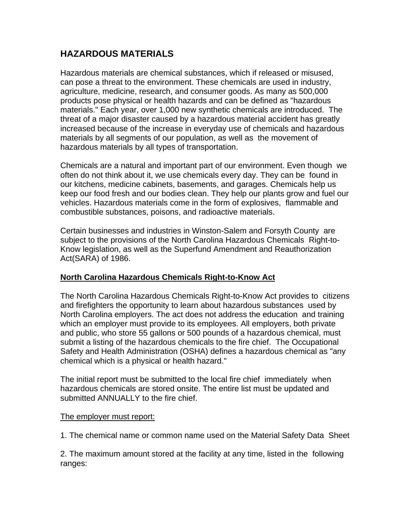# **HAZARDOUS MATERIALS**

Hazardous materials are chemical substances, which if released or misused, can pose a threat to the environment. These chemicals are used in industry, agriculture, medicine, research, and consumer goods. As many as 500,000 products pose physical or health hazards and can be defined as "hazardous materials." Each year, over 1,000 new synthetic chemicals are introduced. The threat of a major disaster caused by a hazardous material accident has greatly increased because of the increase in everyday use of chemicals and hazardous materials by all segments of our population, as well as the movement of hazardous materials by all types of transportation.

Chemicals are a natural and important part of our environment. Even though we often do not think about it, we use chemicals every day. They can be found in our kitchens, medicine cabinets, basements, and garages. Chemicals help us keep our food fresh and our bodies clean. They help our plants grow and fuel our vehicles. Hazardous materials come in the form of explosives, flammable and combustible substances, poisons, and radioactive materials.

Certain businesses and industries in Winston-Salem and Forsyth County are subject to the provisions of the North Carolina Hazardous Chemicals Right-to-Know legislation, as well as the Superfund Amendment and Reauthorization Act(SARA) of 1986.

#### **North Carolina Hazardous Chemicals Right-to-Know Act**

The North Carolina Hazardous Chemicals Right-to-Know Act provides to citizens and firefighters the opportunity to learn about hazardous substances used by North Carolina employers. The act does not address the education and training which an employer must provide to its employees. All employers, both private and public, who store 55 gallons or 500 pounds of a hazardous chemical, must submit a listing of the hazardous chemicals to the fire chief. The Occupational Safety and Health Administration (OSHA) defines a hazardous chemical as "any chemical which is a physical or health hazard."

The initial report must be submitted to the local fire chief immediately when hazardous chemicals are stored onsite. The entire list must be updated and submitted ANNUALLY to the fire chief.

#### The employer must report:

1. The chemical name or common name used on the Material Safety Data Sheet

2. The maximum amount stored at the facility at any time, listed in the following ranges: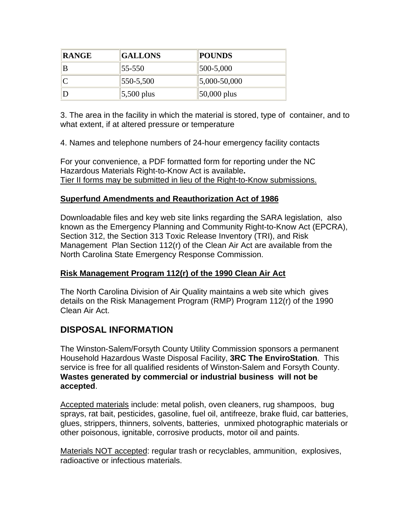| <b>RANGE</b> | <b>GALLONS</b>  | <b>POUNDS</b>     |
|--------------|-----------------|-------------------|
| ΙB           | 55-550          | $ 500 - 5,000 $   |
|              | $ 550 - 5,500 $ | $ 5,000 - 50,000$ |
|              | $ 5,500 $ plus  | $ 50,000 $ plus   |

3. The area in the facility in which the material is stored, type of container, and to what extent, if at altered pressure or temperature

4. Names and telephone numbers of 24-hour emergency facility contacts

For your convenience, a PDF formatted form for reporting under the NC Hazardous Materials Right-to-Know Act is available**.**  Tier II forms may be submitted in lieu of the Right-to-Know submissions.

### **Superfund Amendments and Reauthorization Act of 1986**

Downloadable files and key web site links regarding the SARA legislation, also known as the Emergency Planning and Community Right-to-Know Act (EPCRA), Section 312, the Section 313 Toxic Release Inventory (TRI), and Risk Management Plan Section 112(r) of the Clean Air Act are available from the North Carolina State Emergency Response Commission.

### **Risk Management Program 112(r) of the 1990 Clean Air Act**

The North Carolina Division of Air Quality maintains a web site which gives details on the Risk Management Program (RMP) Program 112(r) of the 1990 Clean Air Act.

# **DISPOSAL INFORMATION**

The Winston-Salem/Forsyth County Utility Commission sponsors a permanent Household Hazardous Waste Disposal Facility, **3RC The EnviroStation**. This service is free for all qualified residents of Winston-Salem and Forsyth County. **Wastes generated by commercial or industrial business will not be accepted**.

Accepted materials include: metal polish, oven cleaners, rug shampoos, bug sprays, rat bait, pesticides, gasoline, fuel oil, antifreeze, brake fluid, car batteries, glues, strippers, thinners, solvents, batteries, unmixed photographic materials or other poisonous, ignitable, corrosive products, motor oil and paints.

Materials NOT accepted: regular trash or recyclables, ammunition, explosives, radioactive or infectious materials.